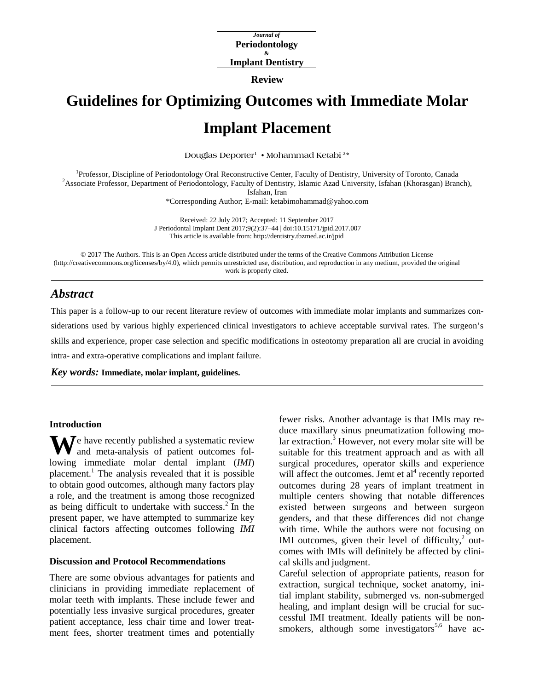*Journal of* **Periodontology & Implant Dentistry**

**Review**

# **Guidelines for Optimizing Outcomes with Immediate Molar Implant Placement**

**Douglas Deporter1 • Mohammad Ketabi 2\***

<sup>1</sup>Professor, Discipline of Periodontology Oral Reconstructive Center, Faculty of Dentistry, University of Toronto, Canada <sup>2</sup> Associate Professor, Department of Periodontology, Faculty of Dentistry, Jelamic Azed Universit <sup>2</sup> Associate Professor, Department of Periodontology, Faculty of Dentistry, Islamic Azad University, Isfahan (Khorasgan) Branch), Isfahan, Iran

\*Corresponding Author; E-mail: ketabimohammad@yahoo.com

Received: 22 July 2017; Accepted: 11 September 2017 J Periodontal Implant Dent 2017;9(2):37–44 | [doi:10.15171/jpid.2017.007](http://dx.doi.org/10.15171/jpid.2017.007) This article is available from:<http://dentistry.tbzmed.ac.ir/jpid>

© 2017 The Authors. This is an Open Access article distributed under the terms of the Creative Commons Attribution License [\(http://creativecommons.org/licenses/by/4.0\)](http://creativecommons.org/licenses/by/4.0), which permits unrestricted use, distribution, and reproduction in any medium, provided the original work is properly cited.

# *Abstract*

This paper is a follow-up to our recent literature review of outcomes with immediate molar implants and summarizes considerations used by various highly experienced clinical investigators to achieve acceptable survival rates. The surgeon's skills and experience, proper case selection and specific modifications in osteotomy preparation all are crucial in avoiding intra- and extra-operative complications and implant failure.

*Key words:* **Immediate, molar implant, guidelines.**

#### **Introduction**

We have recently published a systematic review<br>and meta-analysis of patient outcomes foland meta-analysis of patient outcomes following immediate molar dental implant (*IMI*) placement.<sup>1</sup> The analysis revealed that it is possible to obtain good outcomes, although many factors play a role, and the treatment is among those recognized as being difficult to undertake with success.2 In the present paper, we have attempted to summarize key clinical factors affecting outcomes following *IMI*  placement.

#### **Discussion and Protocol Recommendations**

There are some obvious advantages for patients and clinicians in providing immediate replacement of molar teeth with implants. These include fewer and potentially less invasive surgical procedures, greater patient acceptance, less chair time and lower treatment fees, shorter treatment times and potentially

fewer risks. Another advantage is that IMIs may reduce maxillary sinus pneumatization following mo- $\ar{ar}$  extraction.<sup>3</sup> However, not every molar site will be suitable for this treatment approach and as with all surgical procedures, operator skills and experience will affect the outcomes. Jemt et  $al<sup>4</sup>$  recently reported outcomes during 28 years of implant treatment in multiple centers showing that notable differences existed between surgeons and between surgeon genders, and that these differences did not change with time. While the authors were not focusing on IMI outcomes, given their level of difficulty, $2$  outcomes with IMIs will definitely be affected by clinical skills and judgment.

Careful selection of appropriate patients, reason for extraction, surgical technique, socket anatomy, initial implant stability, submerged vs. non-submerged healing, and implant design will be crucial for successful IMI treatment. Ideally patients will be nonsmokers, although some investigators<sup>5,6</sup> have ac-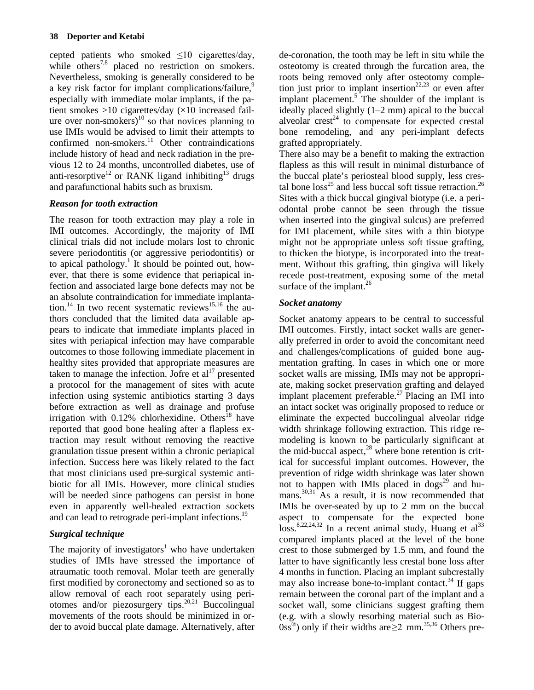cepted patients who smoked  $\leq 10$  cigarettes/day, while others<sup>7,8</sup> placed no restriction on smokers. Nevertheless, smoking is generally considered to be a key risk factor for implant complications/failure,<sup>9</sup> especially with immediate molar implants, if the patient smokes  $>10$  cigarettes/day  $(x10$  increased failure over non-smokers)<sup>10</sup> so that novices planning to use IMIs would be advised to limit their attempts to confirmed non-smokers.<sup>11</sup> Other contraindications include history of head and neck radiation in the previous 12 to 24 months, uncontrolled diabetes, use of anti-resorptive<sup>12</sup> or RANK ligand inhibiting<sup>13</sup> drugs and parafunctional habits such as bruxism.

## *Reason for tooth extraction*

The reason for tooth extraction may play a role in IMI outcomes. Accordingly, the majority of IMI clinical trials did not include molars lost to chronic severe periodontitis (or aggressive periodontitis) or to apical pathology. <sup>1</sup> It should be pointed out, however, that there is some evidence that periapical infection and associated large bone defects may not be an absolute contraindication for immediate implantation.<sup>14</sup> In two recent systematic reviews<sup>15,16</sup> the authors concluded that the limited data available appears to indicate that immediate implants placed in sites with periapical infection may have comparable outcomes to those following immediate placement in healthy sites provided that appropriate measures are taken to manage the infection. Jofre et  $al<sup>17</sup>$  presented a protocol for the management of sites with acute infection using systemic antibiotics starting 3 days before extraction as well as drainage and profuse irrigation with  $0.12\%$  chlorhexidine. Others<sup>18</sup> have reported that good bone healing after a flapless extraction may result without removing the reactive granulation tissue present within a chronic periapical infection. Success here was likely related to the fact that most clinicians used pre-surgical systemic antibiotic for all IMIs. However, more clinical studies will be needed since pathogens can persist in bone even in apparently well-healed extraction sockets and can lead to retrograde peri-implant infections.<sup>19</sup>

# *Surgical technique*

The majority of investigators<sup>1</sup> who have undertaken studies of IMIs have stressed the importance of atraumatic tooth removal. Molar teeth are generally first modified by coronectomy and sectioned so as to allow removal of each root separately using periotomes and/or piezosurgery tips.<sup>20,21</sup> Buccolingual movements of the roots should be minimized in order to avoid buccal plate damage. Alternatively, after

de-coronation, the tooth may be left in situ while the osteotomy is created through the furcation area, the roots being removed only after osteotomy completion just prior to implant insertion<sup>22,23</sup> or even after implant placement. $5$  The shoulder of the implant is ideally placed slightly  $(1-2 \text{ mm})$  apical to the buccal alveolar  $\text{crest}^{24}$  to compensate for expected crestal bone remodeling, and any peri-implant defects grafted appropriately.

There also may be a benefit to making the extraction flapless as this will result in minimal disturbance of the buccal plate's periosteal blood supply, less crestal bone  $loss^{25}$  and less buccal soft tissue retraction.<sup>26</sup> Sites with a thick buccal gingival biotype (i.e. a periodontal probe cannot be seen through the tissue when inserted into the gingival sulcus) are preferred for IMI placement, while sites with a thin biotype might not be appropriate unless soft tissue grafting, to thicken the biotype, is incorporated into the treatment. Without this grafting, thin gingiva will likely recede post-treatment, exposing some of the metal surface of the implant.<sup>26</sup>

## *Socket anatomy*

Socket anatomy appears to be central to successful IMI outcomes. Firstly, intact socket walls are generally preferred in order to avoid the concomitant need and challenges/complications of guided bone augmentation grafting. In cases in which one or more socket walls are missing, IMIs may not be appropriate, making socket preservation grafting and delayed implant placement preferable.<sup>27</sup> Placing an IMI into an intact socket was originally proposed to reduce or eliminate the expected buccolingual alveolar ridge width shrinkage following extraction. This ridge remodeling is known to be particularly significant at the mid-buccal aspect, $^{28}$  where bone retention is critical for successful implant outcomes. However, the prevention of ridge width shrinkage was later shown not to happen with IMIs placed in  $\text{dogs}^{29}$  and humans.<sup>30,31</sup> As a result, it is now recommended that IMIs be over-seated by up to 2 mm on the buccal aspect to compensate for the expected bone  $\cos^{8,22,24,32}$  In a recent animal study, Huang et al<sup>33</sup> compared implants placed at the level of the bone crest to those submerged by 1.5 mm, and found the latter to have significantly less crestal bone loss after 4 months in function. Placing an implant subcrestally may also increase bone-to-implant contact.<sup>34</sup> If gaps remain between the coronal part of the implant and a socket wall, some clinicians suggest grafting them (e.g. with a slowly resorbing material such as Bio- $0$ ss<sup>®</sup>) only if their widths are  $\geq 2$  mm.<sup>35,36</sup> Others pre-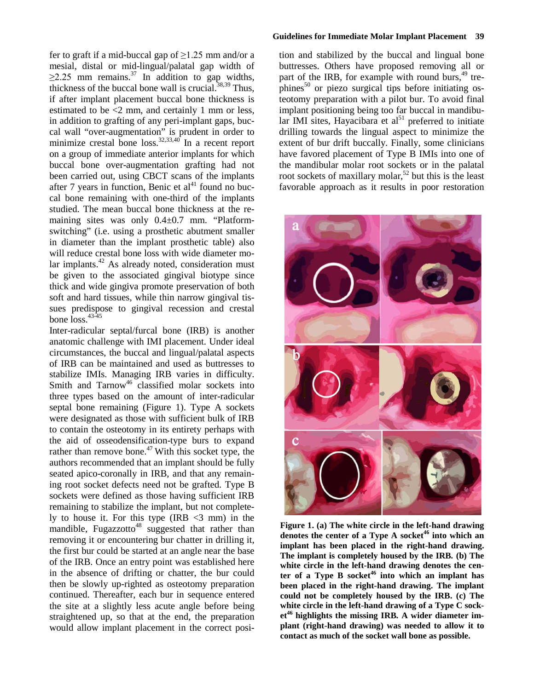fer to graft if a mid-buccal gap of  $\geq$ 1.25 mm and/or a mesial, distal or mid-lingual/palatal gap width of  $\geq$ 2.25 mm remains.<sup>37</sup> In addition to gap widths, thickness of the buccal bone wall is crucial.<sup>38,39</sup> Thus, if after implant placement buccal bone thickness is estimated to be <2 mm, and certainly 1 mm or less, in addition to grafting of any peri-implant gaps, buccal wall "over-augmentation" is prudent in order to minimize crestal bone  $loss^{32,33,40}$  In a recent report on a group of immediate anterior implants for which buccal bone over-augmentation grafting had not been carried out, using CBCT scans of the implants after 7 years in function, Benic et  $al<sup>41</sup>$  found no buccal bone remaining with one-third of the implants studied. The mean buccal bone thickness at the remaining sites was only 0.4±0.7 mm. "Platformswitching" (i.e. using a prosthetic abutment smaller in diameter than the implant prosthetic table) also will reduce crestal bone loss with wide diameter molar implants.<sup>42</sup> As already noted, consideration must be given to the associated gingival biotype since thick and wide gingiva promote preservation of both soft and hard tissues, while thin narrow gingival tissues predispose to gingival recession and crestal bone  $\arccos$ .  $43-45$ 

Inter-radicular septal/furcal bone (IRB) is another anatomic challenge with IMI placement. Under ideal circumstances, the buccal and lingual/palatal aspects of IRB can be maintained and used as buttresses to stabilize IMIs. Managing IRB varies in difficulty. Smith and  $Tarnow<sup>46</sup>$  classified molar sockets into three types based on the amount of inter-radicular septal bone remaining (Figure 1). Type A sockets were designated as those with sufficient bulk of IRB to contain the osteotomy in its entirety perhaps with the aid of osseodensification-type burs to expand rather than remove bone.<sup>47</sup> With this socket type, the authors recommended that an implant should be fully seated apico-coronally in IRB, and that any remaining root socket defects need not be grafted. Type B sockets were defined as those having sufficient IRB remaining to stabilize the implant, but not completely to house it. For this type  $(IRB < 3$  mm) in the mandible, Fugazzotto<sup>48</sup> suggested that rather than removing it or encountering bur chatter in drilling it, the first bur could be started at an angle near the base of the IRB. Once an entry point was established here in the absence of drifting or chatter, the bur could then be slowly up-righted as osteotomy preparation continued. Thereafter, each bur in sequence entered the site at a slightly less acute angle before being straightened up, so that at the end, the preparation would allow implant placement in the correct posi-

tion and stabilized by the buccal and lingual bone buttresses. Others have proposed removing all or part of the IRB, for example with round burs,<sup>49</sup> trephines<sup>50</sup> or piezo surgical tips before initiating osteotomy preparation with a pilot bur. To avoid final implant positioning being too far buccal in mandibular IMI sites, Hayacibara et  $al<sup>51</sup>$  preferred to initiate drilling towards the lingual aspect to minimize the extent of bur drift buccally. Finally, some clinicians have favored placement of Type B IMIs into one of the mandibular molar root sockets or in the palatal root sockets of maxillary molar,<sup>52</sup> but this is the least favorable approach as it results in poor restoration



**Figure 1. (a) The white circle in the left-hand drawing denotes the center of a Type A socket<sup>46</sup> into which an implant has been placed in the right-hand drawing. The implant is completely housed by the IRB***.* **(b) The white circle in the left-hand drawing denotes the center of a Type B socket<sup>46</sup> into which an implant has been placed in the right-hand drawing. The implant could not be completely housed by the IRB. (c) The white circle in the left-hand drawing of a Type C socket<sup>46</sup> highlights the missing IRB***.* **A wider diameter implant (right-hand drawing) was needed to allow it to contact as much of the socket wall bone as possible.**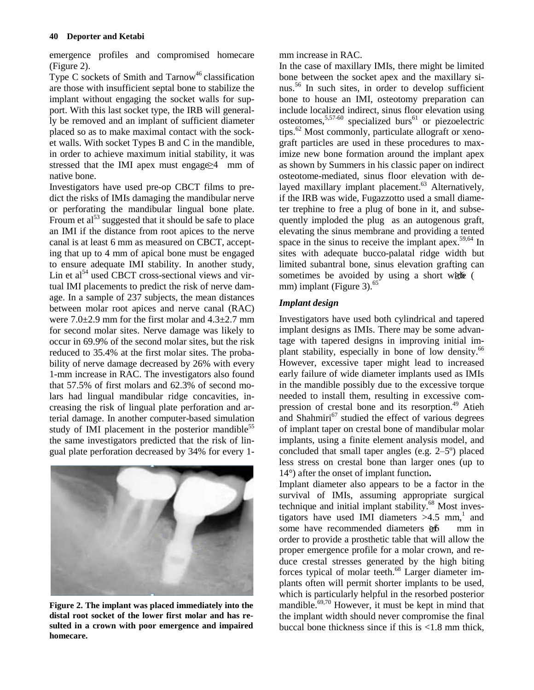emergence profiles and compromised homecare (Figure 2).

Type C sockets of Smith and  $Tarnow<sup>46</sup>$  classification are those with insufficient septal bone to stabilize the implant without engaging the socket walls for support. With this last socket type, the IRB will generally be removed and an implant of sufficient diameter placed so as to make maximal contact with the socket walls. With socket Types B and C in the mandible, in order to achieve maximum initial stability, it was stressed that the IMI apex must engage  $\geq$ 4 mm of native bone.

Investigators have used pre-op CBCT films to predict the risks of IMIs damaging the mandibular nerve or perforating the mandibular lingual bone plate. Froum et  $a^{53}$  suggested that it should be safe to place an IMI if the distance from root apices to the nerve canal is at least 6 mm as measured on CBCT, accepting that up to 4 mm of apical bone must be engaged to ensure adequate IMI stability. In another study, Lin et  $al<sup>54</sup>$  used CBCT cross-sectional views and virtual IMI placements to predict the risk of nerve damage. In a sample of 237 subjects, the mean distances between molar root apices and nerve canal (RAC) were  $7.0\pm2.9$  mm for the first molar and  $4.3\pm2.7$  mm for second molar sites. Nerve damage was likely to occur in 69.9% of the second molar sites, but the risk reduced to 35.4% at the first molar sites. The probability of nerve damage decreased by 26% with every 1-mm increase in RAC. The investigators also found that 57.5% of first molars and 62.3% of second molars had lingual mandibular ridge concavities, increasing the risk of lingual plate perforation and arterial damage. In another computer-based simulation study of IMI placement in the posterior mandible<sup>55</sup> the same investigators predicted that the risk of lingual plate perforation decreased by 34% for every 1-



**Figure 2. The implant was placed immediately into the distal root socket of the lower first molar and has resulted in a crown with poor emergence and impaired homecare.**

mm increase in RAC.

In the case of maxillary IMIs, there might be limited bone between the socket apex and the maxillary sinus.<sup>56</sup> In such sites, in order to develop sufficient bone to house an IMI, osteotomy preparation can include localized indirect, sinus floor elevation using osteotomes,  $5,57-60$  specialized burs<sup>61</sup> or piezoelectric tips.<sup>62</sup> Most commonly, particulate allograft or xenograft particles are used in these procedures to maximize new bone formation around the implant apex as shown by Summers in his classic paper on indirect osteotome-mediated, sinus floor elevation with delayed maxillary implant placement.<sup>63</sup> Alternatively, if the IRB was wide, Fugazzotto used a small diameter trephine to free a plug of bone in it, and subsequently imploded the plug as an autogenous graft, elevating the sinus membrane and providing a tented space in the sinus to receive the implant apex.<sup>59,64</sup> In sites with adequate bucco-palatal ridge width but limited subantral bone, sinus elevation grafting can sometimes be avoided by using a short wide  $\epsilon$ mm) implant (Figure 3).<sup>65</sup>

## *Implant design*

Investigators have used both cylindrical and tapered implant designs as IMIs. There may be some advantage with tapered designs in improving initial implant stability, especially in bone of low density. $66$ However, excessive taper might lead to increased early failure of wide diameter implants used as IMIs in the mandible possibly due to the excessive torque needed to install them, resulting in excessive compression of crestal bone and its resorption.<sup>49</sup> Atieh and Shahmiri $^{67}$  studied the effect of various degrees of implant taper on crestal bone of mandibular molar implants, using a finite element analysis model, and concluded that small taper angles (e.g.  $2-5^{\circ}$ ) placed less stress on crestal bone than larger ones (up to 14°) after the onset of implant function**.** 

Implant diameter also appears to be a factor in the survival of IMIs, assuming appropriate surgical technique and initial implant stability.<sup>68</sup> Most investigators have used IMI diameters >4.5 mm, <sup>1</sup> and some have recommended diameters  $\partial f$  mm in order to provide a prosthetic table that will allow the proper emergence profile for a molar crown, and reduce crestal stresses generated by the high biting forces typical of molar teeth.<sup>68</sup> Larger diameter implants often will permit shorter implants to be used, which is particularly helpful in the resorbed posterior mandible.<sup>69,70</sup> However, it must be kept in mind that the implant width should never compromise the final buccal bone thickness since if this is <1.8 mm thick,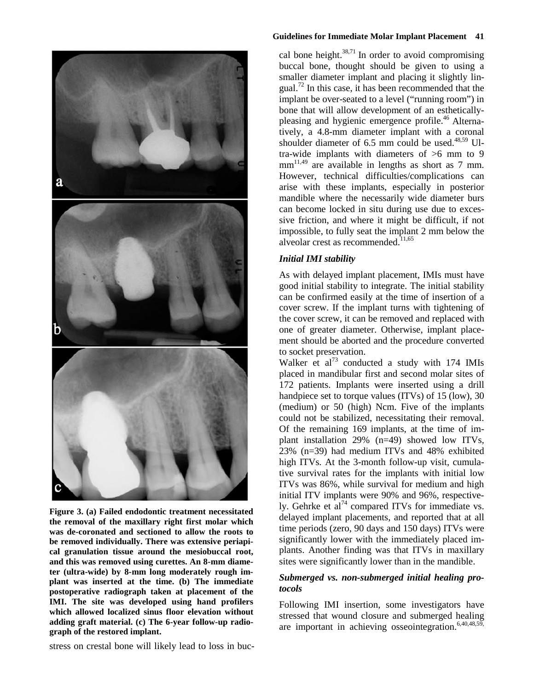

**Figure 3. (a) Failed endodontic treatment necessitated the removal of the maxillary right first molar which was de-coronated and sectioned to allow the roots to be removed individually. There was extensive periapical granulation tissue around the mesiobuccal root, and this was removed using curettes. An 8-mm diameter (ultra-wide) by 8-mm long moderately rough implant was inserted at the time. (b) The immediate postoperative radiograph taken at placement of the IMI. The site was developed using hand profilers which allowed localized sinus floor elevation without adding graft material. (c) The 6-year follow-up radiograph of the restored implant.**

stress on crestal bone will likely lead to loss in buc-

#### **Guidelines for Immediate Molar Implant Placement 41**

cal bone height. $38,71$  In order to avoid compromising buccal bone, thought should be given to using a smaller diameter implant and placing it slightly lingual.<sup>72</sup> In this case, it has been recommended that the implant be over-seated to a level ("running room") in bone that will allow development of an estheticallypleasing and hygienic emergence profile.<sup>46</sup> Alternatively, a 4.8-mm diameter implant with a coronal shoulder diameter of  $6.5$  mm could be used.<sup>48,59</sup> Ultra-wide implants with diameters of >6 mm to 9  $mm<sup>11,49</sup>$  are available in lengths as short as 7 mm. However, technical difficulties/complications can arise with these implants, especially in posterior mandible where the necessarily wide diameter burs can become locked in situ during use due to excessive friction, and where it might be difficult, if not impossible, to fully seat the implant 2 mm below the alveolar crest as recommended. $11,65$ 

### *Initial IMI stability*

As with delayed implant placement, IMIs must have good initial stability to integrate. The initial stability can be confirmed easily at the time of insertion of a cover screw. If the implant turns with tightening of the cover screw, it can be removed and replaced with one of greater diameter. Otherwise, implant placement should be aborted and the procedure converted to socket preservation.

Walker et al<sup>73</sup> conducted a study with  $174$  IMIs placed in mandibular first and second molar sites of 172 patients. Implants were inserted using a drill handpiece set to torque values (ITVs) of 15 (low), 30 (medium) or 50 (high) Ncm. Five of the implants could not be stabilized, necessitating their removal. Of the remaining 169 implants, at the time of implant installation 29% (n=49) showed low ITVs*,* 23% (n=39) had medium ITVs and 48% exhibited high ITVs*.* At the 3-month follow-up visit, cumulative survival rates for the implants with initial low ITVs was 86%, while survival for medium and high initial ITV implants were 90% and 96%, respectively. Gehrke et  $a^{74}$  compared ITVs for immediate vs. delayed implant placements, and reported that at all time periods (zero, 90 days and 150 days) ITVs were significantly lower with the immediately placed implants. Another finding was that ITVs in maxillary sites were significantly lower than in the mandible.

## *Submerged vs. non-submerged initial healing protocols*

Following IMI insertion, some investigators have stressed that wound closure and submerged healing are important in achieving osseointegration.<sup>6,40,48,59</sup>,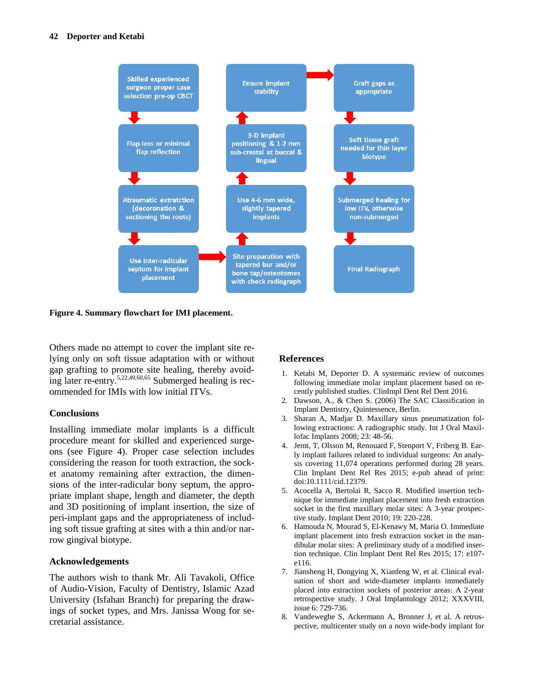

**Figure 4. Summary flowchart for IMI placement.**

Others made no attempt to cover the implant site relying only on soft tissue adaptation with or without gap grafting to promote site healing, thereby avoiding later re-entry.<sup>5,22,49,60,65</sup> Submerged healing is recommended for IMIs with low initial ITVs.

#### **Conclusions**

Installing immediate molar implants is a difficult procedure meant for skilled and experienced surgeons (see Figure 4). Proper case selection includes considering the reason for tooth extraction, the socket anatomy remaining after extraction, the dimensions of the inter-radicular bony septum, the appropriate implant shape, length and diameter, the depth and 3D positioning of implant insertion, the size of peri-implant gaps and the appropriateness of including soft tissue grafting at sites with a thin and/or narrow gingival biotype.

#### **Acknowledgements**

The authors wish to thank Mr. Ali Tavakoli, Office of Audio-Vision, Faculty of Dentistry, Islamic Azad University (Isfahan Branch) for preparing the drawings of socket types, and Mrs. Janissa Wong for secretarial assistance.

## **References**

- 1. Ketabi M, Deporter D. A systematic review of outcomes following immediate molar implant placement based on recently published studies. ClinImpl Dent Rel Dent 2016.
- 2. Dawson, A., & Chen S. (2006) The SAC Classification in Implant Dentistry, Quintessence, Berlin.
- 3. Sharan A, Madjar D. Maxillary sinus pneumatization following extractions: A radiographic study. Int J Oral Maxillofac Implants 2008; 23: 48-56.
- 4. Jemt, T, Olsson M, Renouard F, Stenport V, Friberg B. Early implant failures related to individual surgeons: An analysis covering 11,074 operations performed during 28 years. Clin Implant Dent Rel Res 2015; e-pub ahead of print: doi:10.1111/cid.12379.
- 5. Acocella A, Bertolai R, Sacco R. Modified insertion technique for immediate implant placement into fresh extraction socket in the first maxillary molar sites: A 3-year prospective study. Implant Dent 2010; 19: 220-228.
- 6. Hamouda N, Mourad S, El-Kenawy M, Maria O. Immediate implant placement into fresh extraction socket in the mandibular molar sites: A preliminary study of a modified insertion technique. Clin Implant Dent Rel Res 2015; 17: e107 e116.
- 7. Jiansheng H, Dongying X, Xianfeng W, et al. Clinical evaluation of short and wide-diameter implants immediately placed into extraction sockets of posterior areas: A 2-year retrospective study. J Oral Implantology 2012; XXXVIII, issue 6: 729-736.
- 8. Vandeweghe S, Ackermann A, Bronner J, et al. A retrospective, multicenter study on a novo wide-body implant for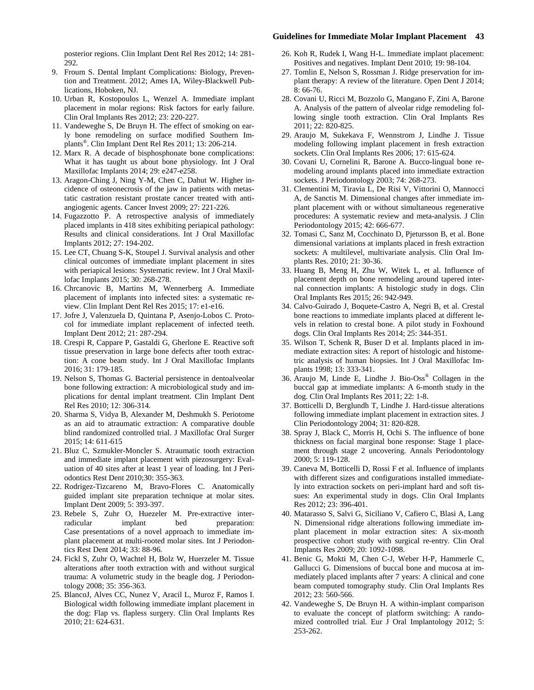#### **Guidelines for Immediate Molar Implant Placement 43**

posterior regions. Clin Implant Dent Rel Res 2012; 14: 281- 292.

- 9. Froum S. Dental Implant Complications: Biology, Prevention and Treatment. 2012; Ames IA, Wiley-Blackwell Publications, Hoboken, NJ.
- 10. Urban R, Kostopoulos L, Wenzel A. Immediate implant placement in molar regions: Risk factors for early failure. Clin Oral Implants Res 2012; 23: 220-227.
- 11. Vandeweghe S, De Bruyn H. The effect of smoking on early bone remodeling on surface modified Southern Implants®. Clin Implant Dent Rel Res 2011; 13: 206-214.
- 12. Marx R. A decade of bisphosphonate bone complications: What it has taught us about bone physiology. Int J Oral Maxillofac Implants 2014; 29: e247-e258.
- 13. Aragon-Ching J, Ning Y-M, Chen C, Dahut W. Higher incidence of osteonecrosis of the jaw in patients with metastatic castration resistant prostate cancer treated with antiangiogenic agents. Cancer Invest 2009; 27: 221-226.
- 14. Fugazzotto P. A retrospective analysis of immediately placed implants in 418 sites exhibiting periapical pathology: Results and clinical considerations. Int J Oral Maxillofac Implants 2012; 27: 194-202.
- 15. Lee CT, Chuang S-K, Stoupel J. Survival analysis and other clinical outcomes of immediate implant placement in sites with periapical lesions: Systematic review. Int J Oral Maxillofac Implants 2015; 30: 268-278.
- 16. Chrcanovic B, Martins M, Wennerberg A. Immediate placement of implants into infected sites: a systematic review. Clin Implant Dent Rel Res 2015; 17: e1-e16.
- 17. Jofre J, Valenzuela D, Quintana P, Asenjo-Lobos C. Protocol for immediate implant replacement of infected teeth. Implant Dent 2012; 21: 287-294.
- 18. Crespi R, Cappare P, Gastaldi G, Gherlone E. Reactive soft tissue preservation in large bone defects after tooth extraction: A cone beam study. Int J Oral Maxillofac Implants 2016; 31: 179-185.
- 19. Nelson S, Thomas G. Bacterial persistence in dentoalveolar bone following extraction: A microbiological study and implications for dental implant treatment. Clin Implant Dent Rel Res 2010; 12: 306-314.
- 20. Sharma S, Vidya B, Alexander M, Deshmukh S. Periotome as an aid to atraumatic extraction: A comparative double blind randomized controlled trial. J Maxillofac Oral Surger 2015; 14: 611-615
- 21. Bluz C, Szmukler-Moncler S. Atraumatic tooth extraction and immediate implant placement with piezosurgery: Evaluation of 40 sites after at least 1 year of loading. Int J Periodontics Rest Dent 2010;30: 355-363.
- 22. Rodrigez-Tizcareno M, Bravo-Flores C. Anatomically guided implant site preparation technique at molar sites. Implant Dent 2009; 5: 393-397.
- 23. Rebele S, Zuhr O, Huezeler M. Pre-extractive interradicular implant bed preparation: Case presentations of a novel approach to immediate implant placement at multi-rooted molar sites. Int J Periodontics Rest Dent 2014; 33: 88-96.
- 24. Fickl S, Zuhr O, Wachtel H, Bolz W, Huerzeler M. Tissue alterations after tooth extraction with and without surgical trauma: A volumetric study in the beagle dog. J Periodontology 2008; 35: 356-363.
- 25. BlancoJ, Alves CC, Nunez V, Aracil L, Muroz F, Ramos I. Biological width following immediate implant placement in the dog: Flap vs. flapless surgery. Clin Oral Implants Res 2010; 21: 624-631.
- 26. Koh R, Rudek I, Wang H-L. Immediate implant placement: Positives and negatives. Implant Dent 2010; 19: 98-104.
- 27. Tomlin E, Nelson S, Rossman J. Ridge preservation for implant therapy: A review of the literature. Open Dent J 2014; 8: 66-76.
- 28. Covani U, Ricci M, Bozzolo G, Mangano F, Zini A, Barone A. Analysis of the pattern of alveolar ridge remodeling following single tooth extraction. Clin Oral Implants Res 2011; 22: 820-825.
- 29. Araujo M, Sukekava F, Wennstrom J, Lindhe J. Tissue modeling following implant placement in fresh extraction sockets. Clin Oral Implants Res 2006; 17: 615-624.
- 30. Covani U, Cornelini R, Barone A. Bucco-lingual bone remodeling around implants placed into immediate extraction sockets. J Periodontology 2003; 74: 268-273.
- 31. Clementini M, Tiravia L, De Risi V, Vittorini O, Mannocci A, de Sanctis M. Dimensional changes after immediate implant placement with or without simultaneous regenerative procedures: A systematic review and meta-analysis. J Clin Periodontology 2015; 42: 666-677.
- 32. Tomasi C, Sanz M, Cocchinato D, Pjetursson B, et al. Bone dimensional variations at implants placed in fresh extraction sockets: A multilevel, multivariate analysis. Clin Oral Implants Res. 2010; 21: 30-36.
- 33. Huang B, Meng H, Zhu W, Witek L, et al. Influence of placement depth on bone remodeling around tapered internal connection implants: A histologic study in dogs. Clin Oral Implants Res 2015; 26: 942-949.
- 34. Calvo-Guirado J, Boquete-Castro A, Negri B, et al. Crestal bone reactions to immediate implants placed at different levels in relation to crestal bone. A pilot study in Foxhound dogs. Clin Oral Implants Res 2014; 25: 344-351.
- 35. Wilson T, Schenk R, Buser D et al. Implants placed in immediate extraction sites: A report of histologic and histometric analysis of human biopsies. Int J Oral Maxillofac Implants 1998; 13: 333-341.
- 36. Araujo M, Linde E, Lindhe J. Bio-Oss® Collagen in the buccal gap at immediate implants: A 6-month study in the dog. Clin Oral Implants Res 2011; 22: 1-8.
- 37. Botticelli D, Berglundh T, Lindhe J. Hard-tissue alterations following immediate implant placement in extraction sites. J Clin Periodontology 2004; 31: 820-828.
- 38. Spray J, Black C, Morris H, Ochi S. The influence of bone thickness on facial marginal bone response: Stage 1 placement through stage 2 uncovering. Annals Periodontology 2000; 5: 119-128.
- 39. Caneva M, Botticelli D, Rossi F et al. Influence of implants with different sizes and configurations installed immediately into extraction sockets on peri-implant hard and soft tissues: An experimental study in dogs. Clin Oral Implants Res 2012; 23: 396-401.
- 40. Matarasso S, Salvi G, Siciliano V, Cafiero C, Blasi A, Lang N. Dimensional ridge alterations following immediate implant placement in molar extraction sites: A six-month prospective cohort study with surgical re-entry. Clin Oral Implants Res 2009; 20: 1092-1098.
- 41. Benic G, Mokti M, Chen C-J, Weber H-P, Hammerle C, Gallucci G. Dimensions of buccal bone and mucosa at immediately placed implants after 7 years: A clinical and cone beam computed tomography study. Clin Oral Implants Res 2012; 23: 560-566.
- 42. Vandeweghe S, De Bruyn H. A within-implant comparison to evaluate the concept of platform switching: A randomized controlled trial. Eur J Oral Implantology 2012; 5: 253-262.